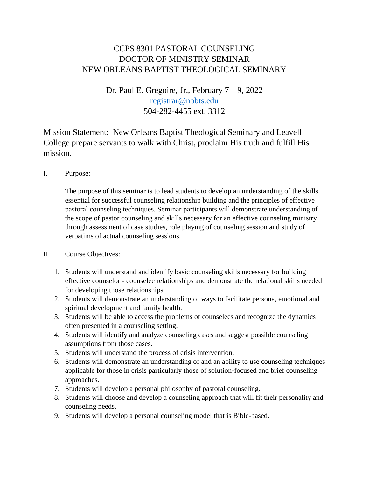## CCPS 8301 PASTORAL COUNSELING DOCTOR OF MINISTRY SEMINAR NEW ORLEANS BAPTIST THEOLOGICAL SEMINARY

Dr. Paul E. Gregoire, Jr., February  $7 - 9$ , 2022 [registrar@nobts.edu](mailto:registrar@nobts.edu) 504-282-4455 ext. 3312

Mission Statement: New Orleans Baptist Theological Seminary and Leavell College prepare servants to walk with Christ, proclaim His truth and fulfill His mission.

I. Purpose:

The purpose of this seminar is to lead students to develop an understanding of the skills essential for successful counseling relationship building and the principles of effective pastoral counseling techniques. Seminar participants will demonstrate understanding of the scope of pastor counseling and skills necessary for an effective counseling ministry through assessment of case studies, role playing of counseling session and study of verbatims of actual counseling sessions.

- II. Course Objectives:
	- 1. Students will understand and identify basic counseling skills necessary for building effective counselor - counselee relationships and demonstrate the relational skills needed for developing those relationships.
	- 2. Students will demonstrate an understanding of ways to facilitate persona, emotional and spiritual development and family health.
	- 3. Students will be able to access the problems of counselees and recognize the dynamics often presented in a counseling setting.
	- 4. Students will identify and analyze counseling cases and suggest possible counseling assumptions from those cases.
	- 5. Students will understand the process of crisis intervention.
	- 6. Students will demonstrate an understanding of and an ability to use counseling techniques applicable for those in crisis particularly those of solution-focused and brief counseling approaches.
	- 7. Students will develop a personal philosophy of pastoral counseling.
	- 8. Students will choose and develop a counseling approach that will fit their personality and counseling needs.
	- 9. Students will develop a personal counseling model that is Bible-based.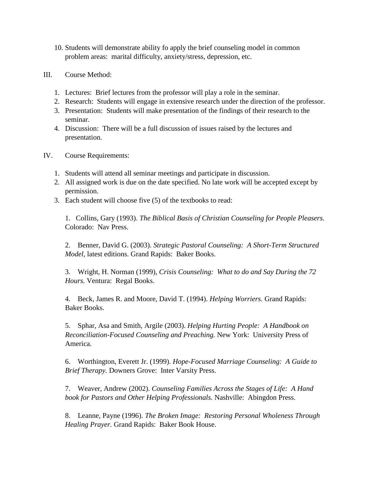- 10. Students will demonstrate ability fo apply the brief counseling model in common problem areas: marital difficulty, anxiety/stress, depression, etc.
- III. Course Method:
	- 1. Lectures: Brief lectures from the professor will play a role in the seminar.
	- 2. Research: Students will engage in extensive research under the direction of the professor.
	- 3. Presentation: Students will make presentation of the findings of their research to the seminar.
	- 4. Discussion: There will be a full discussion of issues raised by the lectures and presentation.
- IV. Course Requirements:
	- 1. Students will attend all seminar meetings and participate in discussion.
	- 2. All assigned work is due on the date specified. No late work will be accepted except by permission.
	- 3. Each student will choose five (5) of the textbooks to read:

1. Collins, Gary (1993). *The Biblical Basis of Christian Counseling for People Pleasers.* Colorado: Nav Press.

2. Benner, David G. (2003). *Strategic Pastoral Counseling: A Short-Term Structured Model,* latest editions. Grand Rapids: Baker Books.

3. Wright, H. Norman (1999), *Crisis Counseling: What to do and Say During the 72 Hours.* Ventura: Regal Books.

4. Beck, James R. and Moore, David T. (1994). *Helping Worriers.* Grand Rapids: Baker Books.

5. Sphar, Asa and Smith, Argile (2003). *Helping Hurting People: A Handbook on Reconciliation-Focused Counseling and Preaching.* New York: University Press of America.

6. Worthington, Everett Jr. (1999). *Hope-Focused Marriage Counseling: A Guide to Brief Therapy.* Downers Grove: Inter Varsity Press.

7. Weaver, Andrew (2002). *Counseling Families Across the Stages of Life: A Hand book for Pastors and Other Helping Professionals.* Nashville: Abingdon Press.

8. Leanne, Payne (1996). *The Broken Image: Restoring Personal Wholeness Through Healing Prayer.* Grand Rapids: Baker Book House.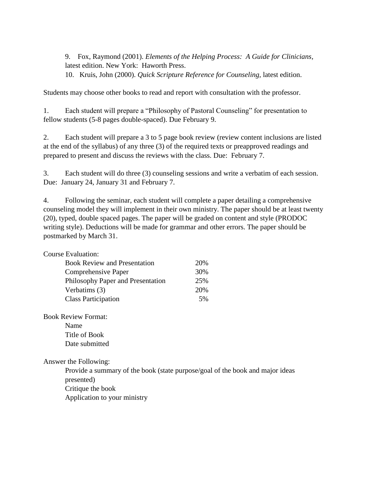9. Fox, Raymond (2001). *Elements of the Helping Process: A Guide for Clinicians,*  latest edition. New York: Haworth Press.

10. Kruis, John (2000). *Quick Scripture Reference for Counseling,* latest edition.

Students may choose other books to read and report with consultation with the professor.

1. Each student will prepare a "Philosophy of Pastoral Counseling" for presentation to fellow students (5-8 pages double-spaced). Due February 9.

2. Each student will prepare a 3 to 5 page book review (review content inclusions are listed at the end of the syllabus) of any three (3) of the required texts or preapproved readings and prepared to present and discuss the reviews with the class. Due: February 7.

3. Each student will do three (3) counseling sessions and write a verbatim of each session. Due: January 24, January 31 and February 7.

4. Following the seminar, each student will complete a paper detailing a comprehensive counseling model they will implement in their own ministry. The paper should be at least twenty (20), typed, double spaced pages. The paper will be graded on content and style (PRODOC writing style). Deductions will be made for grammar and other errors. The paper should be postmarked by March 31.

| <b>Course Evaluation:</b>           |     |
|-------------------------------------|-----|
| <b>Book Review and Presentation</b> | 20% |
| Comprehensive Paper                 | 30% |
| Philosophy Paper and Presentation   | 25% |
| Verbatims (3)                       | 20% |
| <b>Class Participation</b>          | 5%  |
|                                     |     |

Book Review Format: Name Title of Book Date submitted

Answer the Following:

Provide a summary of the book (state purpose/goal of the book and major ideas presented) Critique the book Application to your ministry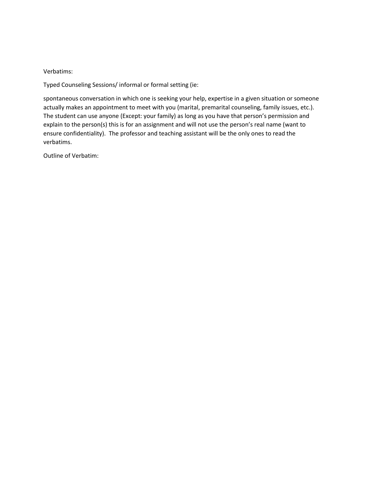## Verbatims:

Typed Counseling Sessions/ informal or formal setting (ie:

spontaneous conversation in which one is seeking your help, expertise in a given situation or someone actually makes an appointment to meet with you (marital, premarital counseling, family issues, etc.). The student can use anyone (Except: your family) as long as you have that person's permission and explain to the person(s) this is for an assignment and will not use the person's real name (want to ensure confidentiality). The professor and teaching assistant will be the only ones to read the verbatims.

Outline of Verbatim: